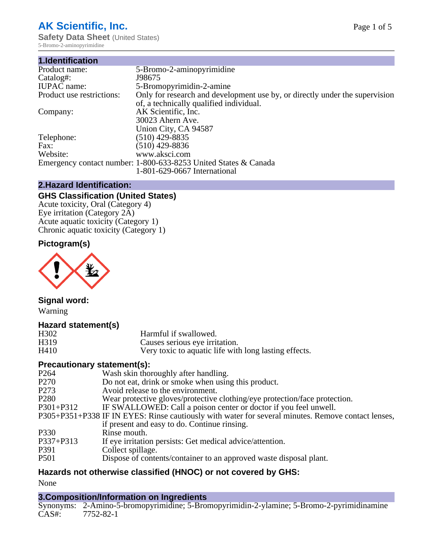# **AK Scientific, Inc.**

**Safety Data Sheet (United States)** 5-Bromo-2-aminopyrimidine

| 1.Identification          |                                                                             |
|---------------------------|-----------------------------------------------------------------------------|
| Product name:             | 5-Bromo-2-aminopyrimidine                                                   |
| Catalog#:                 | J98675                                                                      |
| <b>IUPAC</b> name:        | 5-Bromopyrimidin-2-amine                                                    |
| Product use restrictions: | Only for research and development use by, or directly under the supervision |
|                           | of, a technically qualified individual.                                     |
| Company:                  | AK Scientific, Inc.                                                         |
|                           | 30023 Ahern Ave.                                                            |
|                           | Union City, CA 94587                                                        |
| Telephone:                | $(510)$ 429-8835                                                            |
| Fax:                      | $(510)$ 429-8836                                                            |
| Website:                  | www.aksci.com                                                               |
|                           | Emergency contact number: 1-800-633-8253 United States & Canada             |
|                           | 1-801-629-0667 International                                                |

## **2.Hazard Identification:**

# **GHS Classification (United States)**

Acute toxicity, Oral (Category 4) Eye irritation (Category 2A) Acute aquatic toxicity (Category 1) Chronic aquatic toxicity (Category 1)

## **Pictogram(s)**



**Signal word:**

Warning

#### **Hazard statement(s)**

| H <sub>3</sub> 02 | Harmful if swallowed.                                 |
|-------------------|-------------------------------------------------------|
| H319              | Causes serious eye irritation.                        |
| H410              | Very toxic to aquatic life with long lasting effects. |

#### **Precautionary statement(s):**

| P <sub>264</sub> | Wash skin thoroughly after handling.                                                               |
|------------------|----------------------------------------------------------------------------------------------------|
| P <sub>270</sub> | Do not eat, drink or smoke when using this product.                                                |
| P <sub>273</sub> | Avoid release to the environment.                                                                  |
| P <sub>280</sub> | Wear protective gloves/protective clothing/eye protection/face protection.                         |
| P301+P312        | IF SWALLOWED: Call a poison center or doctor if you feel unwell.                                   |
|                  | P305+P351+P338 IF IN EYES: Rinse cautiously with water for several minutes. Remove contact lenses, |
|                  | if present and easy to do. Continue rinsing.                                                       |
| P330             | Rinse mouth.                                                                                       |
| P337+P313        | If eye irritation persists: Get medical advice/attention.                                          |
| P391             | Collect spillage.                                                                                  |
| <b>P501</b>      | Dispose of contents/container to an approved waste disposal plant.                                 |
|                  |                                                                                                    |

## **Hazards not otherwise classified (HNOC) or not covered by GHS:**

None

## **3.Composition/Information on Ingredients**

Synonyms: 2-Amino-5-bromopyrimidine; 5-Bromopyrimidin-2-ylamine; 5-Bromo-2-pyrimidinamine CAS#: 7752-82-1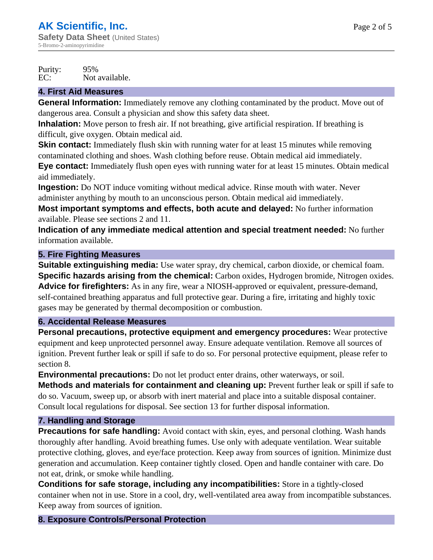Purity: 95%<br>EC: Not Not available.

### **4. First Aid Measures**

**General Information:** Immediately remove any clothing contaminated by the product. Move out of dangerous area. Consult a physician and show this safety data sheet.

**Inhalation:** Move person to fresh air. If not breathing, give artificial respiration. If breathing is difficult, give oxygen. Obtain medical aid.

**Skin contact:** Immediately flush skin with running water for at least 15 minutes while removing contaminated clothing and shoes. Wash clothing before reuse. Obtain medical aid immediately.

**Eye contact:** Immediately flush open eyes with running water for at least 15 minutes. Obtain medical aid immediately.

**Ingestion:** Do NOT induce vomiting without medical advice. Rinse mouth with water. Never administer anything by mouth to an unconscious person. Obtain medical aid immediately.

**Most important symptoms and effects, both acute and delayed:** No further information available. Please see sections 2 and 11.

**Indication of any immediate medical attention and special treatment needed:** No further information available.

## **5. Fire Fighting Measures**

**Suitable extinguishing media:** Use water spray, dry chemical, carbon dioxide, or chemical foam. **Specific hazards arising from the chemical:** Carbon oxides, Hydrogen bromide, Nitrogen oxides. **Advice for firefighters:** As in any fire, wear a NIOSH-approved or equivalent, pressure-demand, self-contained breathing apparatus and full protective gear. During a fire, irritating and highly toxic gases may be generated by thermal decomposition or combustion.

#### **6. Accidental Release Measures**

**Personal precautions, protective equipment and emergency procedures:** Wear protective equipment and keep unprotected personnel away. Ensure adequate ventilation. Remove all sources of ignition. Prevent further leak or spill if safe to do so. For personal protective equipment, please refer to section 8.

**Environmental precautions:** Do not let product enter drains, other waterways, or soil.

**Methods and materials for containment and cleaning up:** Prevent further leak or spill if safe to do so. Vacuum, sweep up, or absorb with inert material and place into a suitable disposal container. Consult local regulations for disposal. See section 13 for further disposal information.

## **7. Handling and Storage**

**Precautions for safe handling:** Avoid contact with skin, eyes, and personal clothing. Wash hands thoroughly after handling. Avoid breathing fumes. Use only with adequate ventilation. Wear suitable protective clothing, gloves, and eye/face protection. Keep away from sources of ignition. Minimize dust generation and accumulation. Keep container tightly closed. Open and handle container with care. Do not eat, drink, or smoke while handling.

**Conditions for safe storage, including any incompatibilities:** Store in a tightly-closed container when not in use. Store in a cool, dry, well-ventilated area away from incompatible substances. Keep away from sources of ignition.

## **8. Exposure Controls/Personal Protection**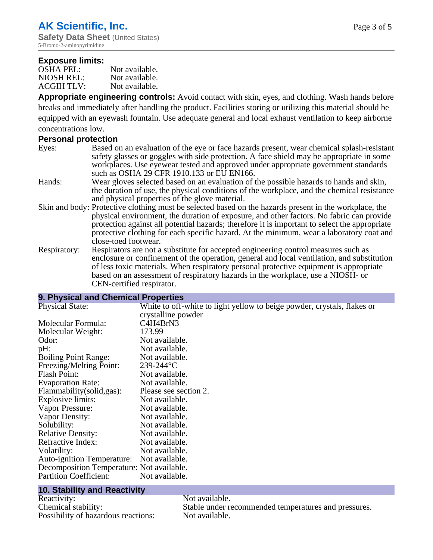#### **Exposure limits:**

| <b>OSHA PEL:</b>  | Not available. |
|-------------------|----------------|
| NIOSH REL:        | Not available. |
| <b>ACGIH TLV:</b> | Not available. |

**Appropriate engineering controls:** Avoid contact with skin, eyes, and clothing. Wash hands before breaks and immediately after handling the product. Facilities storing or utilizing this material should be equipped with an eyewash fountain. Use adequate general and local exhaust ventilation to keep airborne concentrations low.

#### **Personal protection**

| Eyes: | Based on an evaluation of the eye or face hazards present, wear chemical splash-resistant |
|-------|-------------------------------------------------------------------------------------------|
|       | safety glasses or goggles with side protection. A face shield may be appropriate in some  |
|       | workplaces. Use eyewear tested and approved under appropriate government standards        |
|       | such as OSHA 29 CFR 1910.133 or EU EN166.                                                 |

- Hands: Wear gloves selected based on an evaluation of the possible hazards to hands and skin, the duration of use, the physical conditions of the workplace, and the chemical resistance and physical properties of the glove material.
- Skin and body: Protective clothing must be selected based on the hazards present in the workplace, the physical environment, the duration of exposure, and other factors. No fabric can provide protection against all potential hazards; therefore it is important to select the appropriate protective clothing for each specific hazard. At the minimum, wear a laboratory coat and close-toed footwear.
- Respiratory: Respirators are not a substitute for accepted engineering control measures such as enclosure or confinement of the operation, general and local ventilation, and substitution of less toxic materials. When respiratory personal protective equipment is appropriate based on an assessment of respiratory hazards in the workplace, use a NIOSH- or CEN-certified respirator.

### **9. Physical and Chemical Properties**

| <b>Physical State:</b>                    | White to off-white to light yellow to beige powder, crystals, flakes or<br>crystalline powder |
|-------------------------------------------|-----------------------------------------------------------------------------------------------|
| Molecular Formula:                        | C4H4BrN3                                                                                      |
| Molecular Weight:                         | 173.99                                                                                        |
| Odor:                                     | Not available.                                                                                |
| pH:                                       | Not available.                                                                                |
| <b>Boiling Point Range:</b>               | Not available.                                                                                |
| Freezing/Melting Point:                   | $239 - 244$ °C                                                                                |
| Flash Point:                              | Not available.                                                                                |
| <b>Evaporation Rate:</b>                  | Not available.                                                                                |
| Flammability(solid,gas):                  | Please see section 2.                                                                         |
| Explosive limits:                         | Not available.                                                                                |
| Vapor Pressure:                           | Not available.                                                                                |
| Vapor Density:                            | Not available.                                                                                |
| Solubility:                               | Not available.                                                                                |
| <b>Relative Density:</b>                  | Not available.                                                                                |
| Refractive Index:                         | Not available.                                                                                |
| Volatility:                               | Not available.                                                                                |
| <b>Auto-ignition Temperature:</b>         | Not available.                                                                                |
| Decomposition Temperature: Not available. |                                                                                               |
| <b>Partition Coefficient:</b>             | Not available.                                                                                |

# **10. Stability and Reactivity**

Reactivity: Not available. Possibility of hazardous reactions: Not available.

Chemical stability: Stable under recommended temperatures and pressures.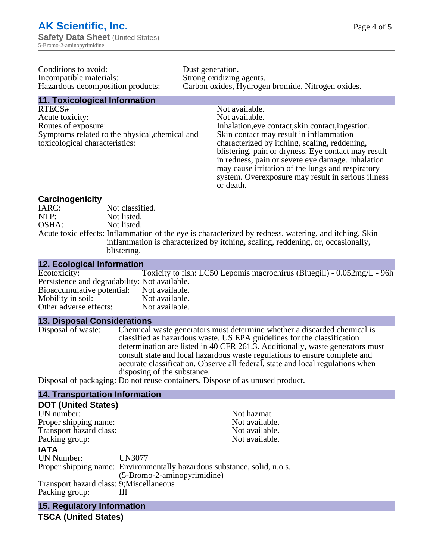| Conditions to avoid:              |
|-----------------------------------|
| Incompatible materials:           |
| Hazardous decomposition products: |

Dust generation. Strong oxidizing agents. Carbon oxides, Hydrogen bromide, Nitrogen oxides.

# **11. Toxicological Information**

RTECS# Not available. Acute toxicity: Not available. Routes of exposure: Inhalation,eye contact,skin contact,ingestion. Symptoms related to the physical,chemical and toxicological characteristics:

Skin contact may result in inflammation characterized by itching, scaling, reddening, blistering, pain or dryness. Eye contact may result in redness, pain or severe eye damage. Inhalation may cause irritation of the lungs and respiratory system. Overexposure may result in serious illness or death.

#### **Carcinogenicity**

| IARC: | Not classified.                                                                                                                                                                          |
|-------|------------------------------------------------------------------------------------------------------------------------------------------------------------------------------------------|
| NTP:  | Not listed.                                                                                                                                                                              |
| OSHA: | Not listed.                                                                                                                                                                              |
|       | Acute toxic effects: Inflammation of the eye is characterized by redness, watering, and itching. Skin<br>inflammation is characterized by itching, scaling, reddening, or, occasionally, |
|       | blistering.                                                                                                                                                                              |

#### **12. Ecological Information**

| Ecotoxicity:                                  | Toxicity to fish: LC50 Lepomis macrochirus (Bluegill) - 0.052mg/L - 96h |
|-----------------------------------------------|-------------------------------------------------------------------------|
| Persistence and degradability: Not available. |                                                                         |
| Bioaccumulative potential: Not available.     |                                                                         |
| Mobility in soil:                             | Not available.                                                          |
| Other adverse effects:                        | Not available.                                                          |
|                                               |                                                                         |

#### **13. Disposal Considerations**

Disposal of waste: Chemical waste generators must determine whether a discarded chemical is classified as hazardous waste. US EPA guidelines for the classification determination are listed in 40 CFR 261.3. Additionally, waste generators must consult state and local hazardous waste regulations to ensure complete and accurate classification. Observe all federal, state and local regulations when disposing of the substance.

Disposal of packaging: Do not reuse containers. Dispose of as unused product.

## **14. Transportation Information**

| <b>DOT (United States)</b>               |                                                                          |                |
|------------------------------------------|--------------------------------------------------------------------------|----------------|
| UN number:                               |                                                                          | Not hazmat     |
| Proper shipping name:                    |                                                                          | Not available. |
| Transport hazard class:                  |                                                                          | Not available. |
| Packing group:                           |                                                                          | Not available. |
| <b>IATA</b>                              |                                                                          |                |
| <b>UN Number:</b>                        | <b>UN3077</b>                                                            |                |
|                                          | Proper shipping name: Environmentally hazardous substance, solid, n.o.s. |                |
|                                          | (5-Bromo-2-aminopyrimidine)                                              |                |
| Transport hazard class: 9; Miscellaneous |                                                                          |                |
| Packing group:                           |                                                                          |                |
|                                          |                                                                          |                |

**15. Regulatory Information**

**TSCA (United States)**